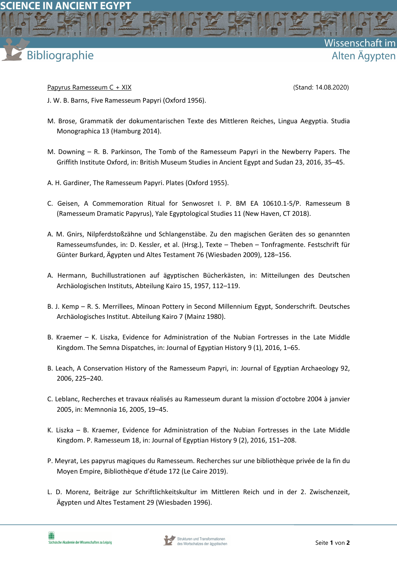

Papyrus Ramesseum C + XIX (Stand: 14.08.2020)

Wissenschaft

Alten Ägypten

J. W. B. Barns, Five Ramesseum Papyri (Oxford 1956).

- M. Brose, Grammatik der dokumentarischen Texte des Mittleren Reiches, Lingua Aegyptia. Studia Monographica 13 (Hamburg 2014).
- M. Downing R. B. Parkinson, The Tomb of the Ramesseum Papyri in the Newberry Papers. The Griffith Institute Oxford, in: British Museum Studies in Ancient Egypt and Sudan 23, 2016, 35–45.
- A. H. Gardiner, The Ramesseum Papyri. Plates (Oxford 1955).
- C. Geisen, A Commemoration Ritual for Senwosret I. P. BM EA 10610.1-5/P. Ramesseum B (Ramesseum Dramatic Papyrus), Yale Egyptological Studies 11 (New Haven, CT 2018).
- A. M. Gnirs, Nilpferdstoßzähne und Schlangenstäbe. Zu den magischen Geräten des so genannten Ramesseumsfundes, in: D. Kessler, et al. (Hrsg.), Texte – Theben – Tonfragmente. Festschrift für Günter Burkard, Ägypten und Altes Testament 76 (Wiesbaden 2009), 128–156.
- A. Hermann, Buchillustrationen auf ägyptischen Bücherkästen, in: Mitteilungen des Deutschen Archäologischen Instituts, Abteilung Kairo 15, 1957, 112–119.
- B. J. Kemp R. S. Merrillees, Minoan Pottery in Second Millennium Egypt, Sonderschrift. Deutsches Archäologisches Institut. Abteilung Kairo 7 (Mainz 1980).
- B. Kraemer K. Liszka, Evidence for Administration of the Nubian Fortresses in the Late Middle Kingdom. The Semna Dispatches, in: Journal of Egyptian History 9 (1), 2016, 1–65.
- B. Leach, A Conservation History of the Ramesseum Papyri, in: Journal of Egyptian Archaeology 92, 2006, 225–240.
- C. Leblanc, Recherches et travaux réalisés au Ramesseum durant la mission d'octobre 2004 à janvier 2005, in: Memnonia 16, 2005, 19–45.
- K. Liszka B. Kraemer, Evidence for Administration of the Nubian Fortresses in the Late Middle Kingdom. P. Ramesseum 18, in: Journal of Egyptian History 9 (2), 2016, 151–208.
- P. Meyrat, Les papyrus magiques du Ramesseum. Recherches sur une bibliothèque privée de la fin du Moyen Empire, Bibliothèque d'étude 172 (Le Caire 2019).
- L. D. Morenz, Beiträge zur Schriftlichkeitskultur im Mittleren Reich und in der 2. Zwischenzeit, Ägypten und Altes Testament 29 (Wiesbaden 1996).